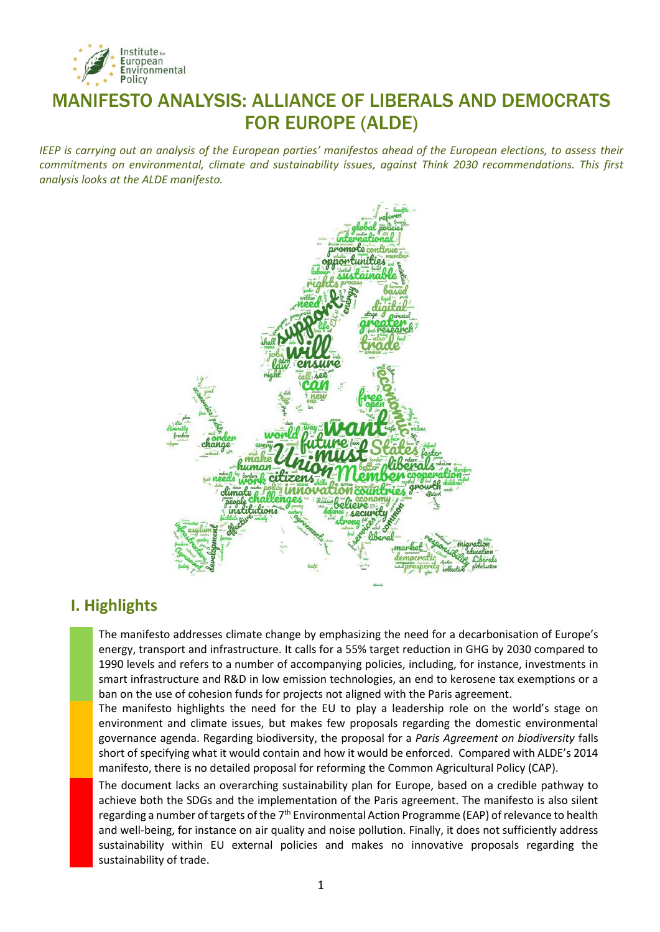

# MANIFESTO ANALYSIS: ALLIANCE OF LIBERALS AND DEMOCRATS FOR EUROPE (ALDE)

*IEEP is carrying out an analysis of the European parties' manifestos ahead of the European elections, to assess their commitments on environmental, climate and sustainability issues, against Think 2030 recommendations. This first analysis looks at the ALDE manifesto.* 



## **I. Highlights**

The manifesto addresses climate change by emphasizing the need for a decarbonisation of Europe's energy, transport and infrastructure. It calls for a 55% target reduction in GHG by 2030 compared to 1990 levels and refers to a number of accompanying policies, including, for instance, investments in smart infrastructure and R&D in low emission technologies, an end to kerosene tax exemptions or a ban on the use of cohesion funds for projects not aligned with the Paris agreement.

The manifesto highlights the need for the EU to play a leadership role on the world's stage on environment and climate issues, but makes few proposals regarding the domestic environmental governance agenda. Regarding biodiversity, the proposal for a *Paris Agreement on biodiversity* falls short of specifying what it would contain and how it would be enforced. Compared with ALDE's 2014 manifesto, there is no detailed proposal for reforming the Common Agricultural Policy (CAP).

The document lacks an overarching sustainability plan for Europe, based on a credible pathway to achieve both the SDGs and the implementation of the Paris agreement. The manifesto is also silent regarding a number of targets of the  $7<sup>th</sup>$  Environmental Action Programme (EAP) of relevance to health and well-being, for instance on air quality and noise pollution. Finally, it does not sufficiently address sustainability within EU external policies and makes no innovative proposals regarding the sustainability of trade.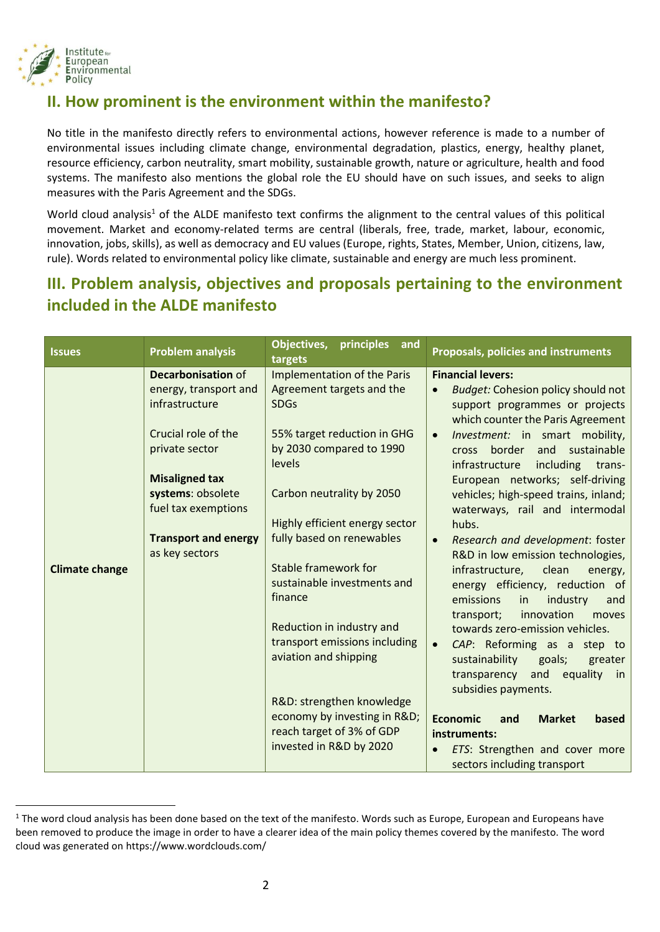

 $\overline{a}$ 

# **II. How prominent is the environment within the manifesto?**

No title in the manifesto directly refers to environmental actions, however reference is made to a number of environmental issues including climate change, environmental degradation, plastics, energy, healthy planet, resource efficiency, carbon neutrality, smart mobility, sustainable growth, nature or agriculture, health and food systems. The manifesto also mentions the global role the EU should have on such issues, and seeks to align measures with the Paris Agreement and the SDGs.

World cloud analysis<sup>1</sup> of the ALDE manifesto text confirms the alignment to the central values of this political movement. Market and economy-related terms are central (liberals, free, trade, market, labour, economic, innovation, jobs, skills), as well as democracy and EU values (Europe, rights, States, Member, Union, citizens, law, rule). Words related to environmental policy like climate, sustainable and energy are much less prominent.

# **III. Problem analysis, objectives and proposals pertaining to the environment included in the ALDE manifesto**

| <b>Issues</b>         | <b>Problem analysis</b>     | Objectives,<br>principles<br>and<br>targets | <b>Proposals, policies and instruments</b>                            |
|-----------------------|-----------------------------|---------------------------------------------|-----------------------------------------------------------------------|
|                       | <b>Decarbonisation of</b>   | Implementation of the Paris                 | <b>Financial levers:</b>                                              |
|                       | energy, transport and       | Agreement targets and the                   | <b>Budget: Cohesion policy should not</b><br>$\bullet$                |
|                       | infrastructure              | <b>SDGs</b>                                 | support programmes or projects<br>which counter the Paris Agreement   |
|                       | Crucial role of the         | 55% target reduction in GHG                 | Investment: in smart mobility,<br>$\bullet$                           |
|                       | private sector              | by 2030 compared to 1990<br>levels          | cross border and sustainable<br>including<br>infrastructure<br>trans- |
|                       | <b>Misaligned tax</b>       |                                             | European networks; self-driving                                       |
|                       | systems: obsolete           | Carbon neutrality by 2050                   | vehicles; high-speed trains, inland;                                  |
|                       | fuel tax exemptions         |                                             | waterways, rail and intermodal                                        |
|                       |                             | Highly efficient energy sector              | hubs.                                                                 |
|                       | <b>Transport and energy</b> | fully based on renewables                   | Research and development: foster<br>$\bullet$                         |
|                       | as key sectors              |                                             | R&D in low emission technologies,                                     |
| <b>Climate change</b> |                             | <b>Stable framework for</b>                 | infrastructure,<br>clean<br>energy,                                   |
|                       |                             | sustainable investments and<br>finance      | energy efficiency, reduction of<br>emissions<br>in<br>industry<br>and |
|                       |                             |                                             | innovation<br>transport;<br>moves                                     |
|                       |                             | Reduction in industry and                   | towards zero-emission vehicles.                                       |
|                       |                             | transport emissions including               | CAP: Reforming as a step to<br>$\bullet$                              |
|                       |                             | aviation and shipping                       | sustainability<br>goals;<br>greater                                   |
|                       |                             |                                             | transparency and<br>equality in                                       |
|                       |                             |                                             | subsidies payments.                                                   |
|                       |                             | R&D: strengthen knowledge                   |                                                                       |
|                       |                             | economy by investing in R&D                 | <b>Economic</b><br><b>Market</b><br>based<br>and                      |
|                       |                             | reach target of 3% of GDP                   | instruments:                                                          |
|                       |                             | invested in R&D by 2020                     | ETS: Strengthen and cover more<br>$\bullet$                           |
|                       |                             |                                             | sectors including transport                                           |

<sup>&</sup>lt;sup>1</sup> The word cloud analysis has been done based on the text of the manifesto. Words such as Europe, European and Europeans have been removed to produce the image in order to have a clearer idea of the main policy themes covered by the manifesto. The word cloud was generated on https://www.wordclouds.com/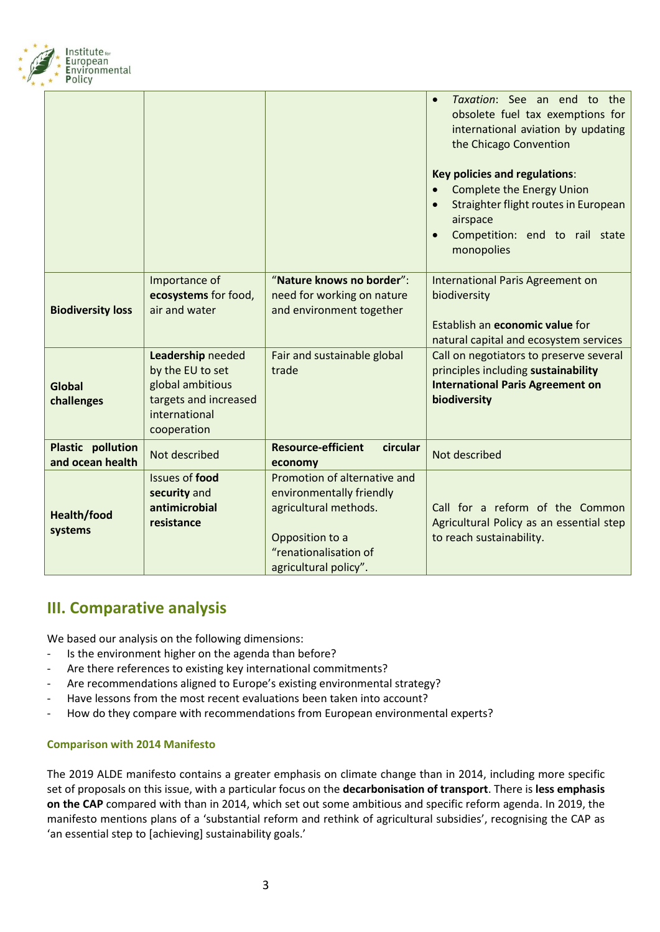

|                                              |                                                                                                                    |                                                                                                                                                        | Taxation: See an end to the<br>obsolete fuel tax exemptions for<br>international aviation by updating<br>the Chicago Convention<br><b>Key policies and regulations:</b><br><b>Complete the Energy Union</b><br>Straighter flight routes in European<br>airspace<br>Competition: end to rail state<br>monopolies |
|----------------------------------------------|--------------------------------------------------------------------------------------------------------------------|--------------------------------------------------------------------------------------------------------------------------------------------------------|-----------------------------------------------------------------------------------------------------------------------------------------------------------------------------------------------------------------------------------------------------------------------------------------------------------------|
| <b>Biodiversity loss</b>                     | Importance of<br>ecosystems for food,<br>air and water                                                             | "Nature knows no border":<br>need for working on nature<br>and environment together                                                                    | International Paris Agreement on<br>biodiversity<br>Establish an economic value for<br>natural capital and ecosystem services                                                                                                                                                                                   |
| <b>Global</b><br>challenges                  | Leadership needed<br>by the EU to set<br>global ambitious<br>targets and increased<br>international<br>cooperation | Fair and sustainable global<br>trade                                                                                                                   | Call on negotiators to preserve several<br>principles including sustainability<br><b>International Paris Agreement on</b><br>biodiversity                                                                                                                                                                       |
| <b>Plastic pollution</b><br>and ocean health | Not described                                                                                                      | <b>Resource-efficient</b><br>circular<br>economy                                                                                                       | Not described                                                                                                                                                                                                                                                                                                   |
| Health/food<br>systems                       | <b>Issues of food</b><br>security and<br>antimicrobial<br>resistance                                               | Promotion of alternative and<br>environmentally friendly<br>agricultural methods.<br>Opposition to a<br>"renationalisation of<br>agricultural policy". | Call for a reform of the Common<br>Agricultural Policy as an essential step<br>to reach sustainability.                                                                                                                                                                                                         |

## **III. Comparative analysis**

We based our analysis on the following dimensions:

- Is the environment higher on the agenda than before?
- Are there references to existing key international commitments?
- Are recommendations aligned to Europe's existing environmental strategy?
- Have lessons from the most recent evaluations been taken into account?
- How do they compare with recommendations from European environmental experts?

#### **Comparison with 2014 Manifesto**

The 2019 ALDE manifesto contains a greater emphasis on climate change than in 2014, including more specific set of proposals on this issue, with a particular focus on the **decarbonisation of transport**. There is **less emphasis on the CAP** compared with than in 2014, which set out some ambitious and specific reform agenda. In 2019, the manifesto mentions plans of a 'substantial reform and rethink of agricultural subsidies', recognising the CAP as 'an essential step to [achieving] sustainability goals.'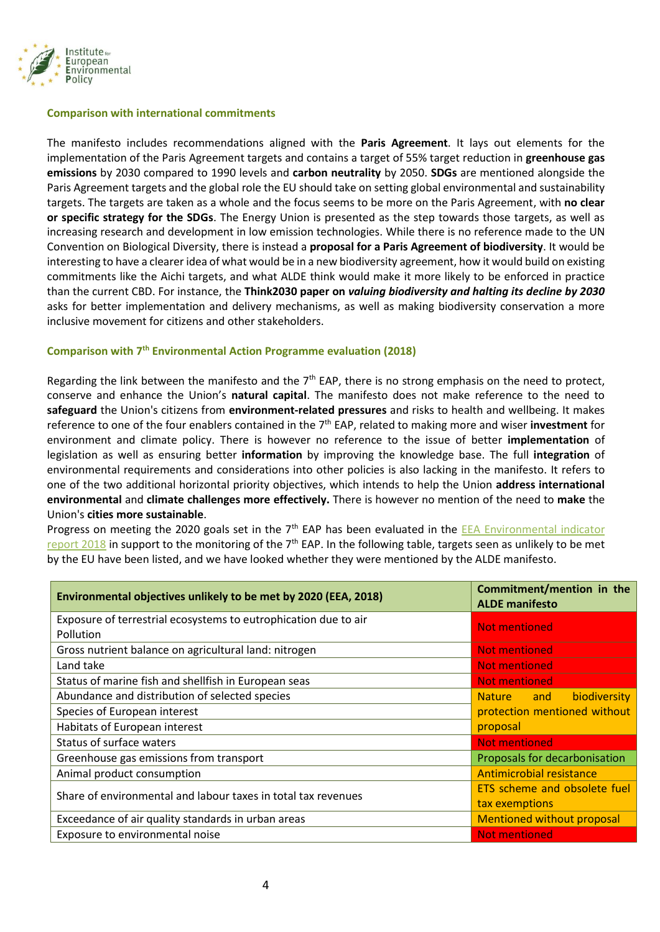

#### **Comparison with international commitments**

The manifesto includes recommendations aligned with the **Paris Agreement**. It lays out elements for the implementation of the Paris Agreement targets and contains a target of 55% target reduction in **greenhouse gas emissions** by 2030 compared to 1990 levels and **carbon neutrality** by 2050. **SDGs** are mentioned alongside the Paris Agreement targets and the global role the EU should take on setting global environmental and sustainability targets. The targets are taken as a whole and the focus seems to be more on the Paris Agreement, with **no clear or specific strategy for the SDGs**. The Energy Union is presented as the step towards those targets, as well as increasing research and development in low emission technologies. While there is no reference made to the UN Convention on Biological Diversity, there is instead a **proposal for a Paris Agreement of biodiversity**. It would be interesting to have a clearer idea of what would be in a new biodiversity agreement, how it would build on existing commitments like the Aichi targets, and what ALDE think would make it more likely to be enforced in practice than the current CBD. For instance, the **Think2030 paper on** *valuing biodiversity and halting its decline by 2030* asks for better implementation and delivery mechanisms, as well as making biodiversity conservation a more inclusive movement for citizens and other stakeholders.

#### **Comparison with 7th Environmental Action Programme evaluation (2018)**

Regarding the link between the manifesto and the  $7<sup>th</sup>$  EAP, there is no strong emphasis on the need to protect, conserve and enhance the Union's **natural capital**. The manifesto does not make reference to the need to **safeguard** the Union's citizens from **environment-related pressures** and risks to health and wellbeing. It makes reference to one of the four enablers contained in the 7th EAP, related to making more and wiser **investment** for environment and climate policy. There is however no reference to the issue of better **implementation** of legislation as well as ensuring better **information** by improving the knowledge base. The full **integration** of environmental requirements and considerations into other policies is also lacking in the manifesto. It refers to one of the two additional horizontal priority objectives, which intends to help the Union **address international environmental** and **climate challenges more effectively.** There is however no mention of the need to **make** the Union's **cities more sustainable**.

Progress on meeting the 2020 goals set in the 7<sup>th</sup> EAP has been evaluated in the **EEA Environmental indicator** [report 2018](https://www.eea.europa.eu/publications/environmental-indicator-report-2018) in support to the monitoring of the  $7<sup>th</sup>$  EAP. In the following table, targets seen as unlikely to be met by the EU have been listed, and we have looked whether they were mentioned by the ALDE manifesto.

| Environmental objectives unlikely to be met by 2020 (EEA, 2018) | Commitment/mention in the<br><b>ALDE</b> manifesto |
|-----------------------------------------------------------------|----------------------------------------------------|
| Exposure of terrestrial ecosystems to eutrophication due to air | <b>Not mentioned</b>                               |
| Pollution                                                       |                                                    |
| Gross nutrient balance on agricultural land: nitrogen           | <b>Not mentioned</b>                               |
| Land take                                                       | <b>Not mentioned</b>                               |
| Status of marine fish and shellfish in European seas            | <b>Not mentioned</b>                               |
| Abundance and distribution of selected species                  | biodiversity<br>Nature and                         |
| Species of European interest                                    | protection mentioned without                       |
| Habitats of European interest                                   | proposal                                           |
| Status of surface waters                                        | <b>Not mentioned</b>                               |
| Greenhouse gas emissions from transport                         | Proposals for decarbonisation                      |
| Animal product consumption                                      | <b>Antimicrobial resistance</b>                    |
| Share of environmental and labour taxes in total tax revenues   | ETS scheme and obsolete fuel                       |
|                                                                 | tax exemptions                                     |
| Exceedance of air quality standards in urban areas              | <b>Mentioned without proposal</b>                  |
| Exposure to environmental noise                                 | <b>Not mentioned</b>                               |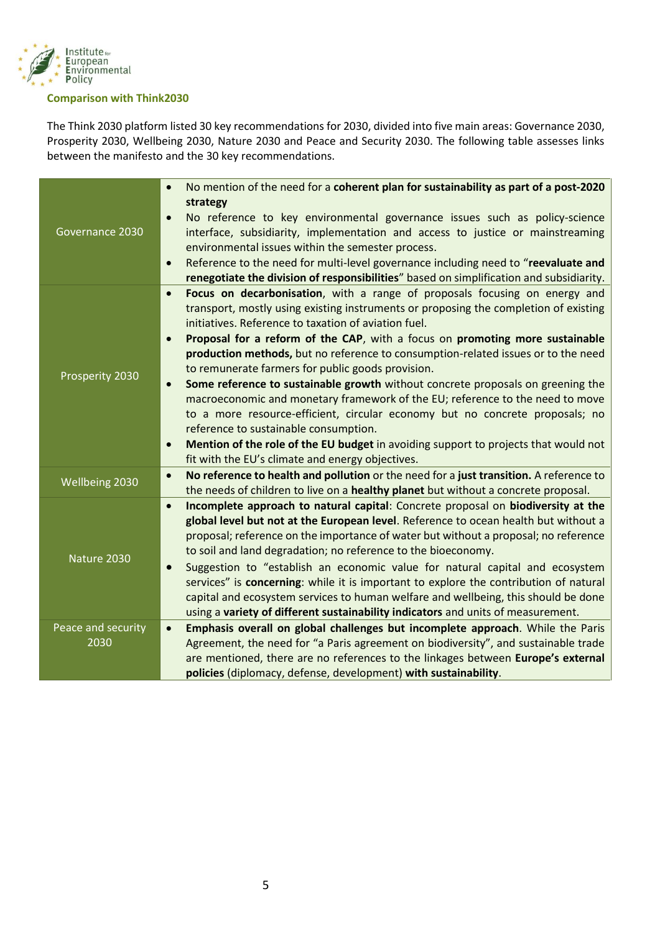

#### **Comparison with Think2030**

The Think 2030 platform listed 30 key recommendations for 2030, divided into five main areas: Governance 2030, Prosperity 2030, Wellbeing 2030, Nature 2030 and Peace and Security 2030. The following table assesses links between the manifesto and the 30 key recommendations.

| Governance 2030            | No mention of the need for a coherent plan for sustainability as part of a post-2020<br>$\bullet$<br>strategy<br>No reference to key environmental governance issues such as policy-science<br>$\bullet$<br>interface, subsidiarity, implementation and access to justice or mainstreaming<br>environmental issues within the semester process.<br>Reference to the need for multi-level governance including need to "reevaluate and<br>$\bullet$<br>renegotiate the division of responsibilities" based on simplification and subsidiarity.                                                                                                                                                                                                                                                                                                                                                                                                    |
|----------------------------|--------------------------------------------------------------------------------------------------------------------------------------------------------------------------------------------------------------------------------------------------------------------------------------------------------------------------------------------------------------------------------------------------------------------------------------------------------------------------------------------------------------------------------------------------------------------------------------------------------------------------------------------------------------------------------------------------------------------------------------------------------------------------------------------------------------------------------------------------------------------------------------------------------------------------------------------------|
| Prosperity 2030            | Focus on decarbonisation, with a range of proposals focusing on energy and<br>$\bullet$<br>transport, mostly using existing instruments or proposing the completion of existing<br>initiatives. Reference to taxation of aviation fuel.<br>Proposal for a reform of the CAP, with a focus on promoting more sustainable<br>$\bullet$<br>production methods, but no reference to consumption-related issues or to the need<br>to remunerate farmers for public goods provision.<br>Some reference to sustainable growth without concrete proposals on greening the<br>$\bullet$<br>macroeconomic and monetary framework of the EU; reference to the need to move<br>to a more resource-efficient, circular economy but no concrete proposals; no<br>reference to sustainable consumption.<br>Mention of the role of the EU budget in avoiding support to projects that would not<br>$\bullet$<br>fit with the EU's climate and energy objectives. |
| Wellbeing 2030             | No reference to health and pollution or the need for a just transition. A reference to<br>$\bullet$<br>the needs of children to live on a healthy planet but without a concrete proposal.                                                                                                                                                                                                                                                                                                                                                                                                                                                                                                                                                                                                                                                                                                                                                        |
| Nature 2030                | Incomplete approach to natural capital: Concrete proposal on biodiversity at the<br>$\bullet$<br>global level but not at the European level. Reference to ocean health but without a<br>proposal; reference on the importance of water but without a proposal; no reference<br>to soil and land degradation; no reference to the bioeconomy.<br>Suggestion to "establish an economic value for natural capital and ecosystem<br>$\bullet$<br>services" is concerning: while it is important to explore the contribution of natural<br>capital and ecosystem services to human welfare and wellbeing, this should be done<br>using a variety of different sustainability indicators and units of measurement.                                                                                                                                                                                                                                     |
| Peace and security<br>2030 | Emphasis overall on global challenges but incomplete approach. While the Paris<br>$\bullet$<br>Agreement, the need for "a Paris agreement on biodiversity", and sustainable trade<br>are mentioned, there are no references to the linkages between Europe's external<br>policies (diplomacy, defense, development) with sustainability.                                                                                                                                                                                                                                                                                                                                                                                                                                                                                                                                                                                                         |